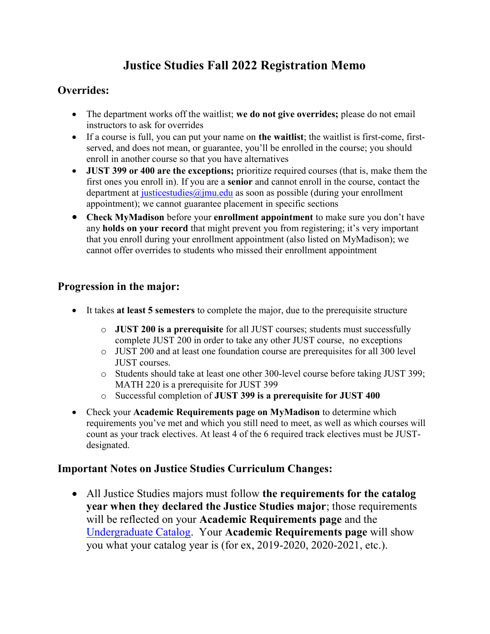# Justice Studies Fall 2022 Registration Memo

## Overrides:

- The department works off the waitlist; we do not give overrides; please do not email instructors to ask for overrides
- If a course is full, you can put your name on the waitlist; the waitlist is first-come, firstserved, and does not mean, or guarantee, you'll be enrolled in the course; you should enroll in another course so that you have alternatives
- JUST 399 or 400 are the exceptions; prioritize required courses (that is, make them the first ones you enroll in). If you are a senior and cannot enroll in the course, contact the department at justicestudies@jmu.edu as soon as possible (during your enrollment appointment); we cannot guarantee placement in specific sections
- Check MyMadison before your enrollment appointment to make sure you don't have any holds on your record that might prevent you from registering; it's very important that you enroll during your enrollment appointment (also listed on MyMadison); we cannot offer overrides to students who missed their enrollment appointment

## Progression in the major:

- It takes at least 5 semesters to complete the major, due to the prerequisite structure
	- o JUST 200 is a prerequisite for all JUST courses; students must successfully complete JUST 200 in order to take any other JUST course, no exceptions
	- o JUST 200 and at least one foundation course are prerequisites for all 300 level JUST courses.
	- o Students should take at least one other 300-level course before taking JUST 399; MATH 220 is a prerequisite for JUST 399
	- o Successful completion of JUST 399 is a prerequisite for JUST 400
- Check your Academic Requirements page on MyMadison to determine which requirements you've met and which you still need to meet, as well as which courses will count as your track electives. At least 4 of the 6 required track electives must be JUSTdesignated.

### Important Notes on Justice Studies Curriculum Changes:

• All Justice Studies majors must follow the requirements for the catalog year when they declared the Justice Studies major; those requirements will be reflected on your **Academic Requirements page** and the Undergraduate Catalog. Your Academic Requirements page will show you what your catalog year is (for ex, 2019-2020, 2020-2021, etc.).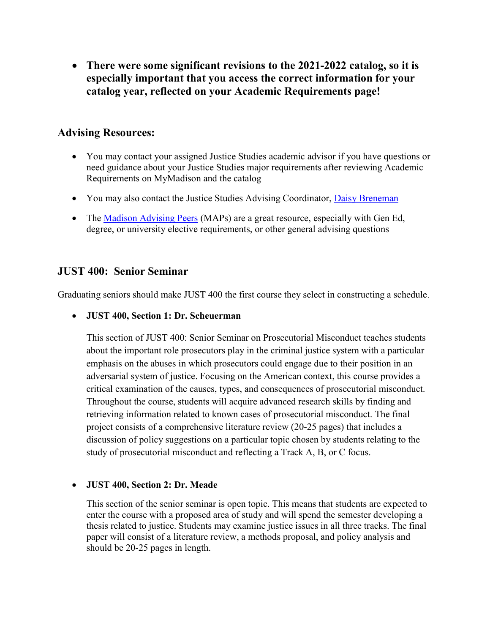• There were some significant revisions to the 2021-2022 catalog, so it is especially important that you access the correct information for your catalog year, reflected on your Academic Requirements page!

#### Advising Resources:

- You may contact your assigned Justice Studies academic advisor if you have questions or need guidance about your Justice Studies major requirements after reviewing Academic Requirements on MyMadison and the catalog
- You may also contact the Justice Studies Advising Coordinator, Daisy Breneman
- The Madison Advising Peers (MAPs) are a great resource, especially with Gen Ed, degree, or university elective requirements, or other general advising questions

#### JUST 400: Senior Seminar

Graduating seniors should make JUST 400 the first course they select in constructing a schedule.

JUST 400, Section 1: Dr. Scheuerman

This section of JUST 400: Senior Seminar on Prosecutorial Misconduct teaches students about the important role prosecutors play in the criminal justice system with a particular emphasis on the abuses in which prosecutors could engage due to their position in an adversarial system of justice. Focusing on the American context, this course provides a critical examination of the causes, types, and consequences of prosecutorial misconduct. Throughout the course, students will acquire advanced research skills by finding and retrieving information related to known cases of prosecutorial misconduct. The final project consists of a comprehensive literature review (20-25 pages) that includes a discussion of policy suggestions on a particular topic chosen by students relating to the study of prosecutorial misconduct and reflecting a Track A, B, or C focus.

#### JUST 400, Section 2: Dr. Meade

This section of the senior seminar is open topic. This means that students are expected to enter the course with a proposed area of study and will spend the semester developing a thesis related to justice. Students may examine justice issues in all three tracks. The final paper will consist of a literature review, a methods proposal, and policy analysis and should be 20-25 pages in length.